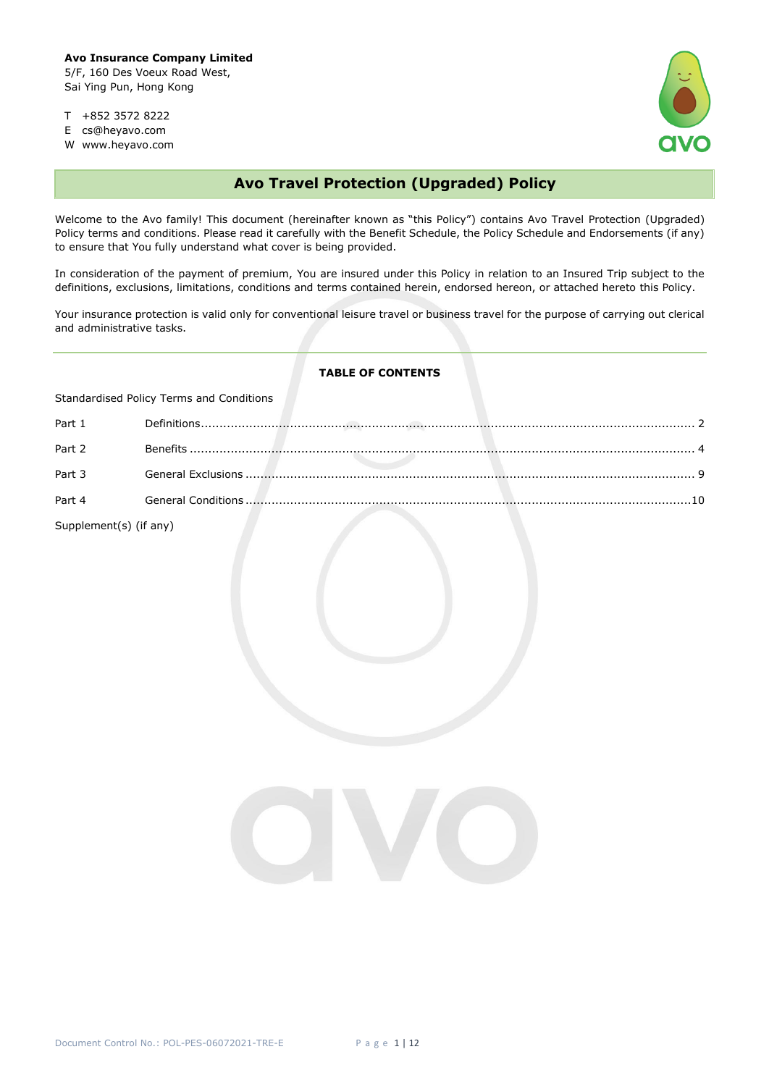

- T +852 3572 8222
- E cs@heyavo.com
- W www.heyavo.com

# **Avo Travel Protection (Upgraded) Policy**

Welcome to the Avo family! This document (hereinafter known as "this Policy") contains Avo Travel Protection (Upgraded) Policy terms and conditions. Please read it carefully with the Benefit Schedule, the Policy Schedule and Endorsements (if any) to ensure that You fully understand what cover is being provided.

In consideration of the payment of premium, You are insured under this Policy in relation to an Insured Trip subject to the definitions, exclusions, limitations, conditions and terms contained herein, endorsed hereon, or attached hereto this Policy.

Your insurance protection is valid only for conventional leisure travel or business travel for the purpose of carrying out clerical and administrative tasks.

## **TABLE OF CONTENTS**

| Standardised Policy Terms and Conditions |  |  |  |
|------------------------------------------|--|--|--|
| Part 1                                   |  |  |  |
| Part 2                                   |  |  |  |
| Part 3                                   |  |  |  |
| Part 4                                   |  |  |  |
| Supplement(s) (if any)                   |  |  |  |

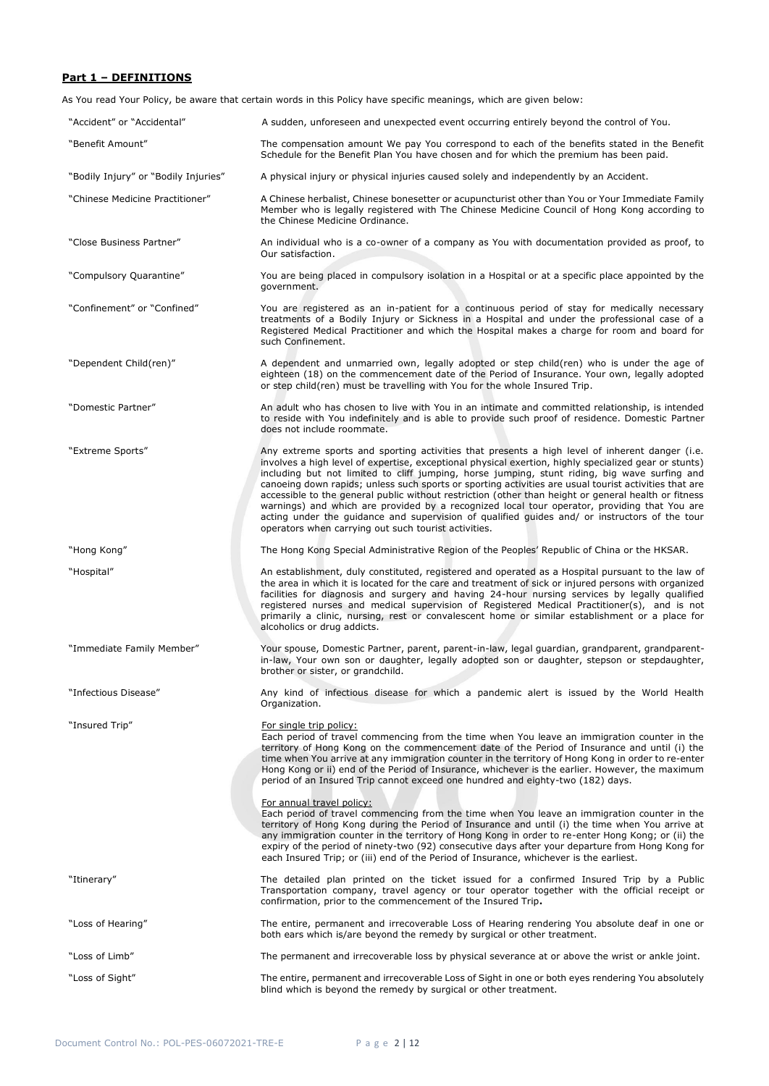# **Part 1 – DEFINITIONS**

As You read Your Policy, be aware that certain words in this Policy have specific meanings, which are given below:

| "Accident" or "Accidental"           | A sudden, unforeseen and unexpected event occurring entirely beyond the control of You.                                                                                                                                                                                                                                                                                                                                                                                                                                                                                                                                                                                                                                                                                            |
|--------------------------------------|------------------------------------------------------------------------------------------------------------------------------------------------------------------------------------------------------------------------------------------------------------------------------------------------------------------------------------------------------------------------------------------------------------------------------------------------------------------------------------------------------------------------------------------------------------------------------------------------------------------------------------------------------------------------------------------------------------------------------------------------------------------------------------|
| "Benefit Amount"                     | The compensation amount We pay You correspond to each of the benefits stated in the Benefit<br>Schedule for the Benefit Plan You have chosen and for which the premium has been paid.                                                                                                                                                                                                                                                                                                                                                                                                                                                                                                                                                                                              |
| "Bodily Injury" or "Bodily Injuries" | A physical injury or physical injuries caused solely and independently by an Accident.                                                                                                                                                                                                                                                                                                                                                                                                                                                                                                                                                                                                                                                                                             |
| "Chinese Medicine Practitioner"      | A Chinese herbalist, Chinese bonesetter or acupuncturist other than You or Your Immediate Family<br>Member who is legally registered with The Chinese Medicine Council of Hong Kong according to<br>the Chinese Medicine Ordinance.                                                                                                                                                                                                                                                                                                                                                                                                                                                                                                                                                |
| "Close Business Partner"             | An individual who is a co-owner of a company as You with documentation provided as proof, to<br>Our satisfaction.                                                                                                                                                                                                                                                                                                                                                                                                                                                                                                                                                                                                                                                                  |
| "Compulsory Quarantine"              | You are being placed in compulsory isolation in a Hospital or at a specific place appointed by the<br>government.                                                                                                                                                                                                                                                                                                                                                                                                                                                                                                                                                                                                                                                                  |
| "Confinement" or "Confined"          | You are registered as an in-patient for a continuous period of stay for medically necessary<br>treatments of a Bodily Injury or Sickness in a Hospital and under the professional case of a<br>Registered Medical Practitioner and which the Hospital makes a charge for room and board for<br>such Confinement.                                                                                                                                                                                                                                                                                                                                                                                                                                                                   |
| "Dependent Child(ren)"               | A dependent and unmarried own, legally adopted or step child(ren) who is under the age of<br>eighteen (18) on the commencement date of the Period of Insurance. Your own, legally adopted<br>or step child(ren) must be travelling with You for the whole Insured Trip.                                                                                                                                                                                                                                                                                                                                                                                                                                                                                                            |
| "Domestic Partner"                   | An adult who has chosen to live with You in an intimate and committed relationship, is intended<br>to reside with You indefinitely and is able to provide such proof of residence. Domestic Partner<br>does not include roommate.                                                                                                                                                                                                                                                                                                                                                                                                                                                                                                                                                  |
| "Extreme Sports"                     | Any extreme sports and sporting activities that presents a high level of inherent danger (i.e.<br>involves a high level of expertise, exceptional physical exertion, highly specialized gear or stunts)<br>including but not limited to cliff jumping, horse jumping, stunt riding, big wave surfing and<br>canoeing down rapids; unless such sports or sporting activities are usual tourist activities that are<br>accessible to the general public without restriction (other than height or general health or fitness<br>warnings) and which are provided by a recognized local tour operator, providing that You are<br>acting under the guidance and supervision of qualified guides and/ or instructors of the tour<br>operators when carrying out such tourist activities. |
| "Hong Kong"                          | The Hong Kong Special Administrative Region of the Peoples' Republic of China or the HKSAR.                                                                                                                                                                                                                                                                                                                                                                                                                                                                                                                                                                                                                                                                                        |
| "Hospital"                           | An establishment, duly constituted, registered and operated as a Hospital pursuant to the law of<br>the area in which it is located for the care and treatment of sick or injured persons with organized<br>facilities for diagnosis and surgery and having 24-hour nursing services by legally qualified<br>registered nurses and medical supervision of Registered Medical Practitioner(s), and is not<br>primarily a clinic, nursing, rest or convalescent home or similar establishment or a place for<br>alcoholics or drug addicts.                                                                                                                                                                                                                                          |
| "Immediate Family Member"            | Your spouse, Domestic Partner, parent, parent-in-law, legal guardian, grandparent, grandparent-<br>in-law, Your own son or daughter, legally adopted son or daughter, stepson or stepdaughter,<br>brother or sister, or grandchild.                                                                                                                                                                                                                                                                                                                                                                                                                                                                                                                                                |
| "Infectious Disease"                 | Any kind of infectious disease for which a pandemic alert is issued by the World Health<br>Organization.                                                                                                                                                                                                                                                                                                                                                                                                                                                                                                                                                                                                                                                                           |
| "Insured Trip"                       | <u>For single trip policy:</u><br>Each period of travel commencing from the time when You leave an immigration counter in the<br>territory of Hong Kong on the commencement date of the Period of Insurance and until (i) the<br>time when You arrive at any immigration counter in the territory of Hong Kong in order to re-enter<br>Hong Kong or ii) end of the Period of Insurance, whichever is the earlier. However, the maximum<br>period of an Insured Trip cannot exceed one hundred and eighty-two (182) days.                                                                                                                                                                                                                                                           |
|                                      | For annual travel policy:<br>Each period of travel commencing from the time when You leave an immigration counter in the<br>territory of Hong Kong during the Period of Insurance and until (i) the time when You arrive at<br>any immigration counter in the territory of Hong Kong in order to re-enter Hong Kong; or (ii) the<br>expiry of the period of ninety-two (92) consecutive days after your departure from Hong Kong for<br>each Insured Trip; or (iii) end of the Period of Insurance, whichever is the earliest.                                                                                                                                                                                                                                                     |
| "Itinerary"                          | The detailed plan printed on the ticket issued for a confirmed Insured Trip by a Public<br>Transportation company, travel agency or tour operator together with the official receipt or<br>confirmation, prior to the commencement of the Insured Trip.                                                                                                                                                                                                                                                                                                                                                                                                                                                                                                                            |
| "Loss of Hearing"                    | The entire, permanent and irrecoverable Loss of Hearing rendering You absolute deaf in one or<br>both ears which is/are beyond the remedy by surgical or other treatment.                                                                                                                                                                                                                                                                                                                                                                                                                                                                                                                                                                                                          |
| "Loss of Limb"                       | The permanent and irrecoverable loss by physical severance at or above the wrist or ankle joint.                                                                                                                                                                                                                                                                                                                                                                                                                                                                                                                                                                                                                                                                                   |
| "Loss of Sight"                      | The entire, permanent and irrecoverable Loss of Sight in one or both eyes rendering You absolutely<br>blind which is beyond the remedy by surgical or other treatment.                                                                                                                                                                                                                                                                                                                                                                                                                                                                                                                                                                                                             |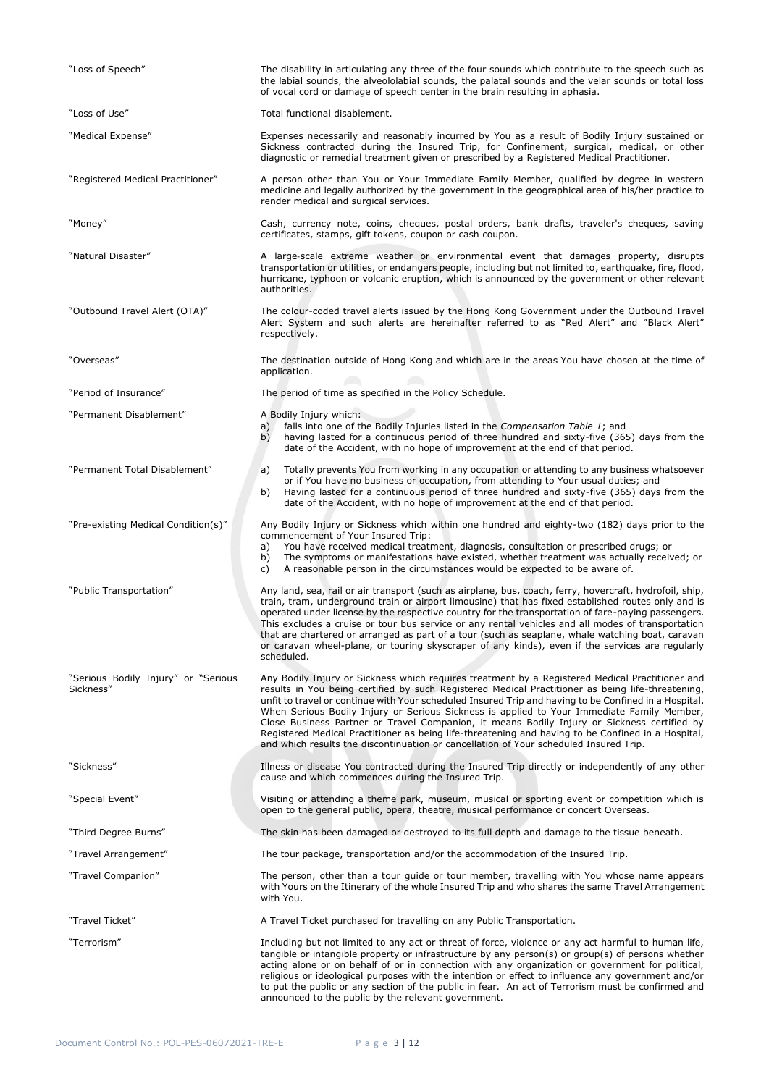| "Loss of Speech"                                 | The disability in articulating any three of the four sounds which contribute to the speech such as<br>the labial sounds, the alveololabial sounds, the palatal sounds and the velar sounds or total loss<br>of vocal cord or damage of speech center in the brain resulting in aphasia.                                                                                                                                                                                                                                                                                                                                                                                                                   |
|--------------------------------------------------|-----------------------------------------------------------------------------------------------------------------------------------------------------------------------------------------------------------------------------------------------------------------------------------------------------------------------------------------------------------------------------------------------------------------------------------------------------------------------------------------------------------------------------------------------------------------------------------------------------------------------------------------------------------------------------------------------------------|
| "Loss of Use"                                    | Total functional disablement.                                                                                                                                                                                                                                                                                                                                                                                                                                                                                                                                                                                                                                                                             |
| "Medical Expense"                                | Expenses necessarily and reasonably incurred by You as a result of Bodily Injury sustained or<br>Sickness contracted during the Insured Trip, for Confinement, surgical, medical, or other<br>diagnostic or remedial treatment given or prescribed by a Registered Medical Practitioner.                                                                                                                                                                                                                                                                                                                                                                                                                  |
| "Registered Medical Practitioner"                | A person other than You or Your Immediate Family Member, qualified by degree in western<br>medicine and legally authorized by the government in the geographical area of his/her practice to<br>render medical and surgical services.                                                                                                                                                                                                                                                                                                                                                                                                                                                                     |
| "Money"                                          | Cash, currency note, coins, cheques, postal orders, bank drafts, traveler's cheques, saving<br>certificates, stamps, gift tokens, coupon or cash coupon.                                                                                                                                                                                                                                                                                                                                                                                                                                                                                                                                                  |
| "Natural Disaster"                               | A large-scale extreme weather or environmental event that damages property, disrupts<br>transportation or utilities, or endangers people, including but not limited to, earthquake, fire, flood,<br>hurricane, typhoon or volcanic eruption, which is announced by the government or other relevant<br>authorities.                                                                                                                                                                                                                                                                                                                                                                                       |
| "Outbound Travel Alert (OTA)"                    | The colour-coded travel alerts issued by the Hong Kong Government under the Outbound Travel<br>Alert System and such alerts are hereinafter referred to as "Red Alert" and "Black Alert"<br>respectively.                                                                                                                                                                                                                                                                                                                                                                                                                                                                                                 |
| "Overseas"                                       | The destination outside of Hong Kong and which are in the areas You have chosen at the time of<br>application.                                                                                                                                                                                                                                                                                                                                                                                                                                                                                                                                                                                            |
| "Period of Insurance"                            | The period of time as specified in the Policy Schedule.                                                                                                                                                                                                                                                                                                                                                                                                                                                                                                                                                                                                                                                   |
| "Permanent Disablement"                          | A Bodily Injury which:<br>a) falls into one of the Bodily Injuries listed in the Compensation Table 1; and<br>having lasted for a continuous period of three hundred and sixty-five (365) days from the<br>b)<br>date of the Accident, with no hope of improvement at the end of that period.                                                                                                                                                                                                                                                                                                                                                                                                             |
| "Permanent Total Disablement"                    | Totally prevents You from working in any occupation or attending to any business whatsoever<br>a)<br>or if You have no business or occupation, from attending to Your usual duties; and<br>Having lasted for a continuous period of three hundred and sixty-five (365) days from the<br>b)<br>date of the Accident, with no hope of improvement at the end of that period.                                                                                                                                                                                                                                                                                                                                |
| "Pre-existing Medical Condition(s)"              | Any Bodily Injury or Sickness which within one hundred and eighty-two (182) days prior to the<br>commencement of Your Insured Trip:<br>You have received medical treatment, diagnosis, consultation or prescribed drugs; or<br>a)<br>The symptoms or manifestations have existed, whether treatment was actually received; or<br>b)<br>A reasonable person in the circumstances would be expected to be aware of.<br>c)                                                                                                                                                                                                                                                                                   |
| "Public Transportation"                          | Any land, sea, rail or air transport (such as airplane, bus, coach, ferry, hovercraft, hydrofoil, ship,<br>train, tram, underground train or airport limousine) that has fixed established routes only and is<br>operated under license by the respective country for the transportation of fare-paying passengers.<br>This excludes a cruise or tour bus service or any rental vehicles and all modes of transportation<br>that are chartered or arranged as part of a tour (such as seaplane, whale watching boat, caravan<br>or caravan wheel-plane, or touring skyscraper of any kinds), even if the services are regularly<br>scheduled.                                                             |
| "Serious Bodily Injury" or "Serious<br>Sickness" | Any Bodily Injury or Sickness which requires treatment by a Registered Medical Practitioner and<br>results in You being certified by such Registered Medical Practitioner as being life-threatening,<br>unfit to travel or continue with Your scheduled Insured Trip and having to be Confined in a Hospital.<br>When Serious Bodily Injury or Serious Sickness is applied to Your Immediate Family Member,<br>Close Business Partner or Travel Companion, it means Bodily Injury or Sickness certified by<br>Registered Medical Practitioner as being life-threatening and having to be Confined in a Hospital,<br>and which results the discontinuation or cancellation of Your scheduled Insured Trip. |
| "Sickness"                                       | Illness or disease You contracted during the Insured Trip directly or independently of any other<br>cause and which commences during the Insured Trip.                                                                                                                                                                                                                                                                                                                                                                                                                                                                                                                                                    |
| "Special Event"                                  | Visiting or attending a theme park, museum, musical or sporting event or competition which is<br>open to the general public, opera, theatre, musical performance or concert Overseas.                                                                                                                                                                                                                                                                                                                                                                                                                                                                                                                     |
| "Third Degree Burns"                             | The skin has been damaged or destroyed to its full depth and damage to the tissue beneath.                                                                                                                                                                                                                                                                                                                                                                                                                                                                                                                                                                                                                |
| "Travel Arrangement"                             | The tour package, transportation and/or the accommodation of the Insured Trip.                                                                                                                                                                                                                                                                                                                                                                                                                                                                                                                                                                                                                            |
| "Travel Companion"                               | The person, other than a tour guide or tour member, travelling with You whose name appears<br>with Yours on the Itinerary of the whole Insured Trip and who shares the same Travel Arrangement<br>with You.                                                                                                                                                                                                                                                                                                                                                                                                                                                                                               |
| "Travel Ticket"                                  | A Travel Ticket purchased for travelling on any Public Transportation.                                                                                                                                                                                                                                                                                                                                                                                                                                                                                                                                                                                                                                    |
| "Terrorism"                                      | Including but not limited to any act or threat of force, violence or any act harmful to human life,<br>tangible or intangible property or infrastructure by any person(s) or group(s) of persons whether<br>acting alone or on behalf of or in connection with any organization or government for political,<br>religious or ideological purposes with the intention or effect to influence any government and/or<br>to put the public or any section of the public in fear. An act of Terrorism must be confirmed and<br>announced to the public by the relevant government.                                                                                                                             |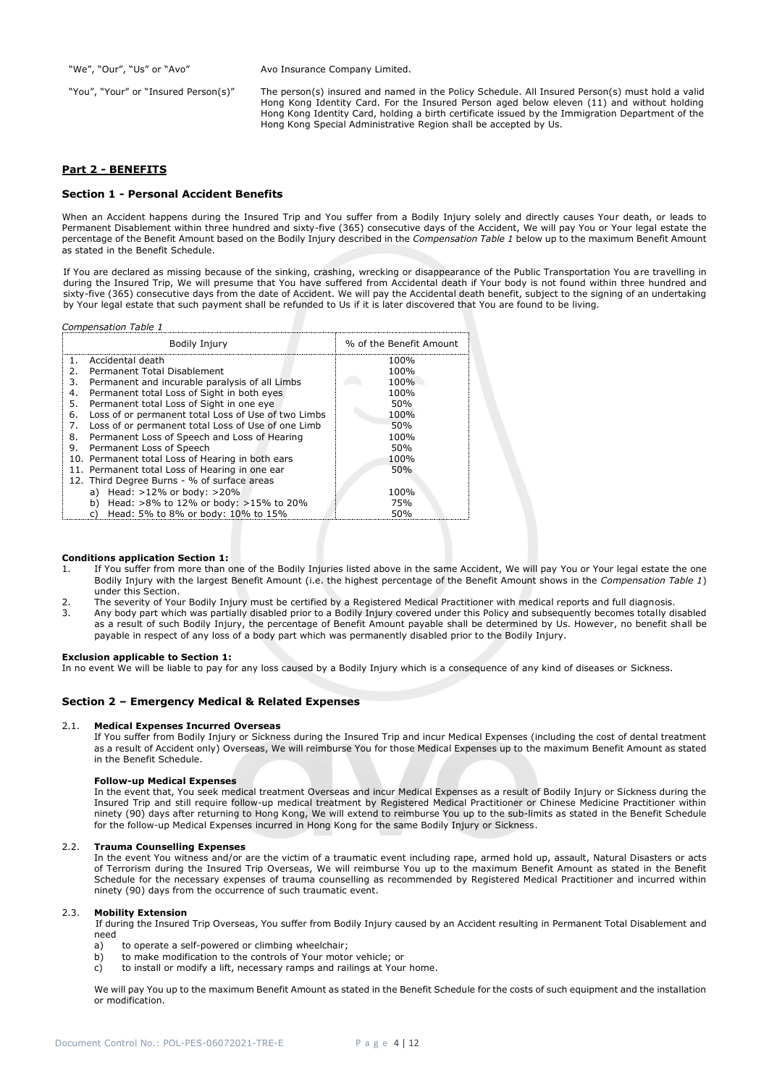"We", "Our", "Us" or "Avo" Avo Insurance Company Limited.

"You", "Your" or "Insured Person(s)" The person(s) insured and named in the Policy Schedule. All Insured Person(s) must hold a valid Hong Kong Identity Card. For the Insured Person aged below eleven (11) and without holding Hong Kong Identity Card, holding a birth certificate issued by the Immigration Department of the Hong Kong Special Administrative Region shall be accepted by Us.

## **Part 2 - BENEFITS**

*Compensation Table 1*

## **Section 1 - Personal Accident Benefits**

When an Accident happens during the Insured Trip and You suffer from a Bodily Injury solely and directly causes Your death, or leads to Permanent Disablement within three hundred and sixty-five (365) consecutive days of the Accident, We will pay You or Your legal estate the percentage of the Benefit Amount based on the Bodily Injury described in the *Compensation Table 1* below up to the maximum Benefit Amount as stated in the Benefit Schedule.

If You are declared as missing because of the sinking, crashing, wrecking or disappearance of the Public Transportation You are travelling in during the Insured Trip, We will presume that You have suffered from Accidental death if Your body is not found within three hundred and sixty-five (365) consecutive days from the date of Accident. We will pay the Accidental death benefit, subject to the signing of an undertaking by Your legal estate that such payment shall be refunded to Us if it is later discovered that You are found to be living.

| ensation Table 1                                                |                         |  |  |  |
|-----------------------------------------------------------------|-------------------------|--|--|--|
| <b>Bodily Injury</b>                                            | % of the Benefit Amount |  |  |  |
| Accidental death<br>1.                                          | 100%                    |  |  |  |
| Permanent Total Disablement<br>2.                               | 100%                    |  |  |  |
| Permanent and incurable paralysis of all Limbs<br>3.            | 100%                    |  |  |  |
| Permanent total Loss of Sight in both eyes<br>4.                | 100%                    |  |  |  |
| Permanent total Loss of Sight in one eye<br>5.                  | 50%                     |  |  |  |
| Loss of or permanent total Loss of Use of two Limbs<br>6.       | 100%                    |  |  |  |
| Loss of or permanent total Loss of Use of one Limb<br>50%<br>7. |                         |  |  |  |
| Permanent Loss of Speech and Loss of Hearing<br>100%<br>8.      |                         |  |  |  |
| Permanent Loss of Speech<br>50%<br>9.                           |                         |  |  |  |
| 10. Permanent total Loss of Hearing in both ears<br>100%        |                         |  |  |  |
| 11. Permanent total Loss of Hearing in one ear<br>50%           |                         |  |  |  |
| 12. Third Degree Burns - % of surface areas                     |                         |  |  |  |
| Head: >12% or body: >20%<br>a)                                  | 100%                    |  |  |  |
| Head: >8% to 12% or body: >15% to 20%<br>75%<br>b)              |                         |  |  |  |
| Head: 5% to 8% or body: 10% to 15%<br>50%<br>C)                 |                         |  |  |  |

## **Conditions application Section 1:**

- 1. If You suffer from more than one of the Bodily Injuries listed above in the same Accident, We will pay You or Your legal estate the one Bodily Injury with the largest Benefit Amount (i.e. the highest percentage of the Benefit Amount shows in the *Compensation Table 1*) under this Section.
- 2. The severity of Your Bodily Injury must be certified by a Registered Medical Practitioner with medical reports and full diagnosis.
- 3. Any body part which was partially disabled prior to a Bodily Injury covered under this Policy and subsequently becomes totally disabled as a result of such Bodily Injury, the percentage of Benefit Amount payable shall be determined by Us. However, no benefit shall be payable in respect of any loss of a body part which was permanently disabled prior to the Bodily Injury.

## **Exclusion applicable to Section 1:**

In no event We will be liable to pay for any loss caused by a Bodily Injury which is a consequence of any kind of diseases or Sickness.

## **Section 2 – Emergency Medical & Related Expenses**

## 2.1. **Medical Expenses Incurred Overseas**

If You suffer from Bodily Injury or Sickness during the Insured Trip and incur Medical Expenses (including the cost of dental treatment as a result of Accident only) Overseas, We will reimburse You for those Medical Expenses up to the maximum Benefit Amount as stated in the Benefit Schedule.

## **Follow-up Medical Expenses**

In the event that, You seek medical treatment Overseas and incur Medical Expenses as a result of Bodily Injury or Sickness during the Insured Trip and still require follow-up medical treatment by Registered Medical Practitioner or Chinese Medicine Practitioner within ninety (90) days after returning to Hong Kong, We will extend to reimburse You up to the sub-limits as stated in the Benefit Schedule for the follow-up Medical Expenses incurred in Hong Kong for the same Bodily Injury or Sickness.

## 2.2. **Trauma Counselling Expenses**

In the event You witness and/or are the victim of a traumatic event including rape, armed hold up, assault, Natural Disasters or acts of Terrorism during the Insured Trip Overseas, We will reimburse You up to the maximum Benefit Amount as stated in the Benefit Schedule for the necessary expenses of trauma counselling as recommended by Registered Medical Practitioner and incurred within ninety (90) days from the occurrence of such traumatic event.

## 2.3. **Mobility Extension**

If during the Insured Trip Overseas, You suffer from Bodily Injury caused by an Accident resulting in Permanent Total Disablement and need

- a) to operate a self-powered or climbing wheelchair;
- b) to make modification to the controls of Your motor vehicle; or
- c) to install or modify a lift, necessary ramps and railings at Your home.

We will pay You up to the maximum Benefit Amount as stated in the Benefit Schedule for the costs of such equipment and the installation or modification.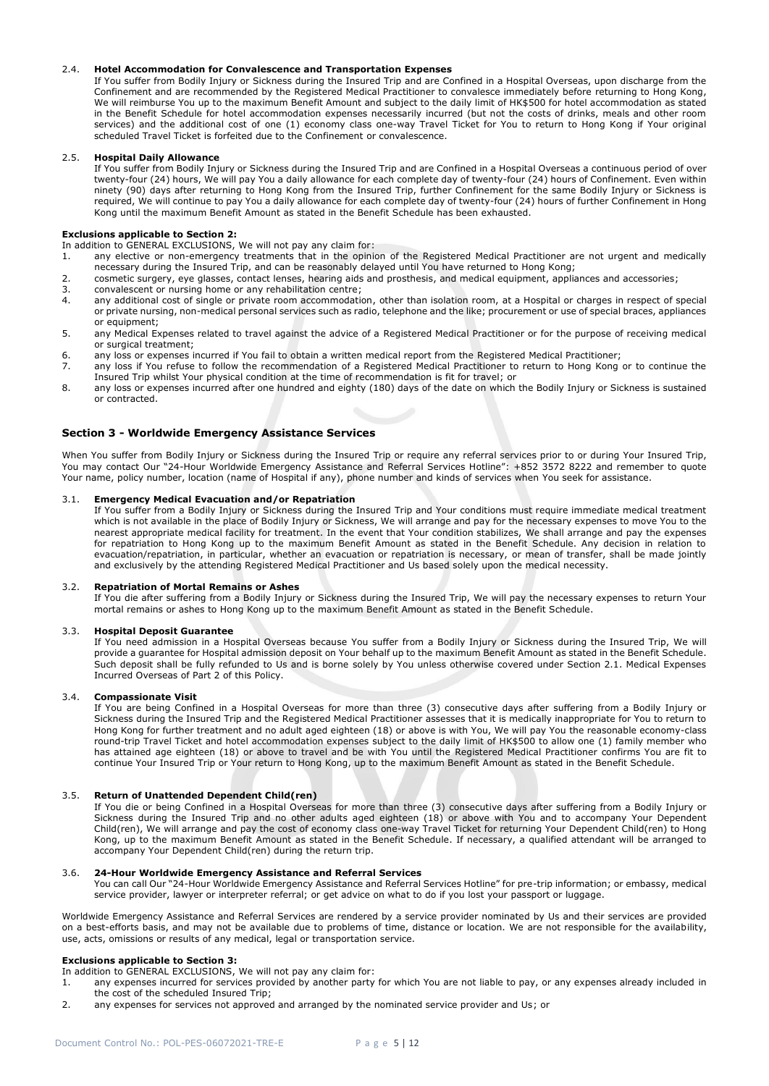## 2.4. **Hotel Accommodation for Convalescence and Transportation Expenses**

If You suffer from Bodily Injury or Sickness during the Insured Trip and are Confined in a Hospital Overseas, upon discharge from the Confinement and are recommended by the Registered Medical Practitioner to convalesce immediately before returning to Hong Kong, We will reimburse You up to the maximum Benefit Amount and subject to the daily limit of HK\$500 for hotel accommodation as stated in the Benefit Schedule for hotel accommodation expenses necessarily incurred (but not the costs of drinks, meals and other room services) and the additional cost of one (1) economy class one-way Travel Ticket for You to return to Hong Kong if Your original scheduled Travel Ticket is forfeited due to the Confinement or convalescence.

## 2.5. **Hospital Daily Allowance**

If You suffer from Bodily Injury or Sickness during the Insured Trip and are Confined in a Hospital Overseas a continuous period of over twenty-four (24) hours, We will pay You a daily allowance for each complete day of twenty-four (24) hours of Confinement. Even within ninety (90) days after returning to Hong Kong from the Insured Trip, further Confinement for the same Bodily Injury or Sickness is required, We will continue to pay You a daily allowance for each complete day of twenty-four (24) hours of further Confinement in Hong Kong until the maximum Benefit Amount as stated in the Benefit Schedule has been exhausted.

## **Exclusions applicable to Section 2:**

In addition to GENERAL EXCLUSIONS, We will not pay any claim for:

- 1. any elective or non-emergency treatments that in the opinion of the Registered Medical Practitioner are not urgent and medically necessary during the Insured Trip, and can be reasonably delayed until You have returned to Hong Kong;
- 2. cosmetic surgery, eye glasses, contact lenses, hearing aids and prosthesis, and medical equipment, appliances and accessories;<br>3. convalescent or nursing home or any rehabilitation centre:
- convalescent or nursing home or any rehabilitation centre;
- 4. any additional cost of single or private room accommodation, other than isolation room, at a Hospital or charges in respect of special or private nursing, non-medical personal services such as radio, telephone and the like; procurement or use of special braces, appliances or equipment;
- 5. any Medical Expenses related to travel against the advice of a Registered Medical Practitioner or for the purpose of receiving medical or surgical treatment;
- 6. any loss or expenses incurred if You fail to obtain a written medical report from the Registered Medical Practitioner;
- 7. any loss if You refuse to follow the recommendation of a Registered Medical Practitioner to return to Hong Kong or to continue the Insured Trip whilst Your physical condition at the time of recommendation is fit for travel; or
- 8. any loss or expenses incurred after one hundred and eighty (180) days of the date on which the Bodily Injury or Sickness is sustained or contracted.

## **Section 3 - Worldwide Emergency Assistance Services**

When You suffer from Bodily Injury or Sickness during the Insured Trip or require any referral services prior to or during Your Insured Trip, You may contact Our "24-Hour Worldwide Emergency Assistance and Referral Services Hotline": +852 3572 8222 and remember to quote Your name, policy number, location (name of Hospital if any), phone number and kinds of services when You seek for assistance.

## 3.1. **Emergency Medical Evacuation and/or Repatriation**

If You suffer from a Bodily Injury or Sickness during the Insured Trip and Your conditions must require immediate medical treatment which is not available in the place of Bodily Injury or Sickness, We will arrange and pay for the necessary expenses to move You to the nearest appropriate medical facility for treatment. In the event that Your condition stabilizes, We shall arrange and pay the expenses for repatriation to Hong Kong up to the maximum Benefit Amount as stated in the Benefit Schedule. Any decision in relation to evacuation/repatriation, in particular, whether an evacuation or repatriation is necessary, or mean of transfer, shall be made jointly and exclusively by the attending Registered Medical Practitioner and Us based solely upon the medical necessity.

## 3.2. **Repatriation of Mortal Remains or Ashes**

If You die after suffering from a Bodily Injury or Sickness during the Insured Trip, We will pay the necessary expenses to return Your mortal remains or ashes to Hong Kong up to the maximum Benefit Amount as stated in the Benefit Schedule.

## 3.3. **Hospital Deposit Guarantee**

If You need admission in a Hospital Overseas because You suffer from a Bodily Injury or Sickness during the Insured Trip, We will provide a guarantee for Hospital admission deposit on Your behalf up to the maximum Benefit Amount as stated in the Benefit Schedule. Such deposit shall be fully refunded to Us and is borne solely by You unless otherwise covered under Section 2.1. Medical Expenses Incurred Overseas of Part 2 of this Policy.

#### 3.4. **Compassionate Visit**

If You are being Confined in a Hospital Overseas for more than three (3) consecutive days after suffering from a Bodily Injury or Sickness during the Insured Trip and the Registered Medical Practitioner assesses that it is medically inappropriate for You to return to Hong Kong for further treatment and no adult aged eighteen (18) or above is with You, We will pay You the reasonable economy-class round-trip Travel Ticket and hotel accommodation expenses subject to the daily limit of HK\$500 to allow one (1) family member who has attained age eighteen (18) or above to travel and be with You until the Registered Medical Practitioner confirms You are fit to continue Your Insured Trip or Your return to Hong Kong, up to the maximum Benefit Amount as stated in the Benefit Schedule.

## 3.5. **Return of Unattended Dependent Child(ren)**

If You die or being Confined in a Hospital Overseas for more than three (3) consecutive days after suffering from a Bodily Injury or Sickness during the Insured Trip and no other adults aged eighteen (18) or above with You and to accompany Your Dependent Child(ren), We will arrange and pay the cost of economy class one-way Travel Ticket for returning Your Dependent Child(ren) to Hong Kong, up to the maximum Benefit Amount as stated in the Benefit Schedule. If necessary, a qualified attendant will be arranged to accompany Your Dependent Child(ren) during the return trip.

## 3.6. **24-Hour Worldwide Emergency Assistance and Referral Services**

You can call Our "24-Hour Worldwide Emergency Assistance and Referral Services Hotline" for pre-trip information; or embassy, medical service provider, lawyer or interpreter referral; or get advice on what to do if you lost your passport or luggage.

Worldwide Emergency Assistance and Referral Services are rendered by a service provider nominated by Us and their services are provided on a best-efforts basis, and may not be available due to problems of time, distance or location. We are not responsible for the availability, use, acts, omissions or results of any medical, legal or transportation service.

## **Exclusions applicable to Section 3:**

In addition to GENERAL EXCLUSIONS, We will not pay any claim for:

- 1. any expenses incurred for services provided by another party for which You are not liable to pay, or any expenses already included in the cost of the scheduled Insured Trip;
- 2. any expenses for services not approved and arranged by the nominated service provider and Us; or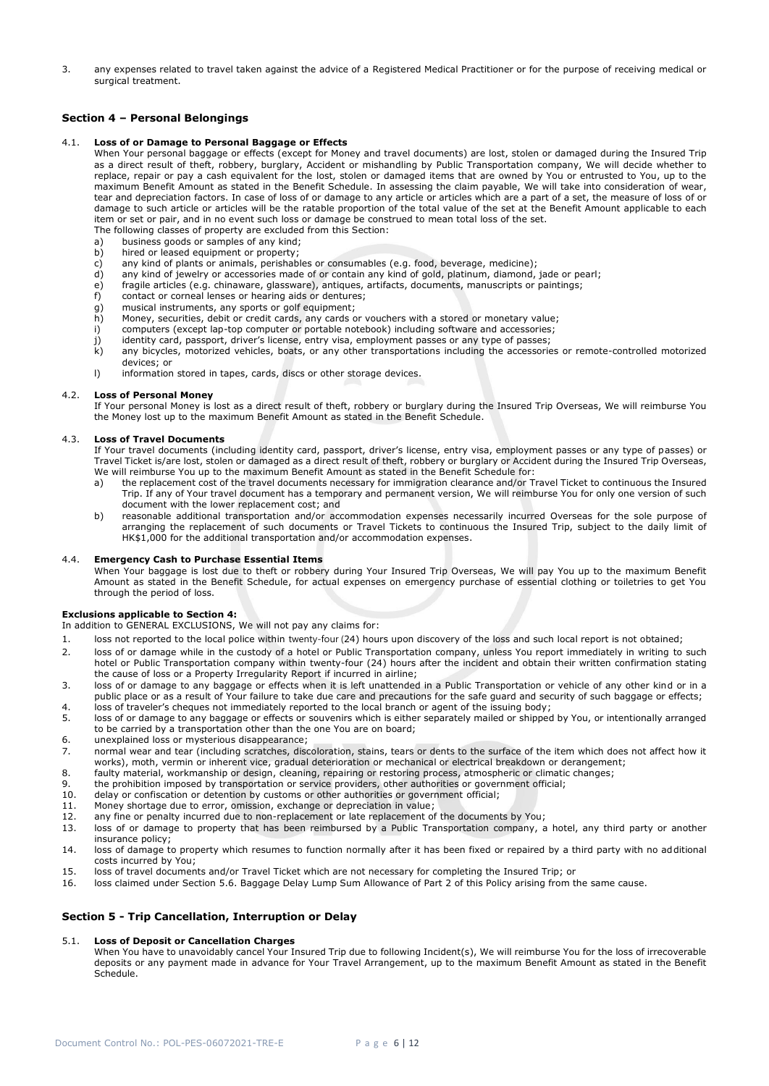3. any expenses related to travel taken against the advice of a Registered Medical Practitioner or for the purpose of receiving medical or surgical treatment.

## **Section 4 – Personal Belongings**

## 4.1. **Loss of or Damage to Personal Baggage or Effects**

When Your personal baggage or effects (except for Money and travel documents) are lost, stolen or damaged during the Insured Trip as a direct result of theft, robbery, burglary, Accident or mishandling by Public Transportation company, We will decide whether to replace, repair or pay a cash equivalent for the lost, stolen or damaged items that are owned by You or entrusted to You, up to the maximum Benefit Amount as stated in the Benefit Schedule. In assessing the claim payable, We will take into consideration of wear, tear and depreciation factors. In case of loss of or damage to any article or articles which are a part of a set, the measure of loss of or damage to such article or articles will be the ratable proportion of the total value of the set at the Benefit Amount applicable to each item or set or pair, and in no event such loss or damage be construed to mean total loss of the set.

- The following classes of property are excluded from this Section:
- a) business goods or samples of any kind; b) hired or leased equipment or property;
- 
- c) any kind of plants or animals, perishables or consumables (e.g. food, beverage, medicine);<br>d) any kind of jewelry or accessories made of or contain any kind of gold, platinum, diamond, any kind of jewelry or accessories made of or contain any kind of gold, platinum, diamond, jade or pearl;
- e) fragile articles (e.g. chinaware, glassware), antiques, artifacts, documents, manuscripts or paintings;
- f) contact or corneal lenses or hearing aids or dentures;
- g) musical instruments, any sports or golf equipment;<br>h) Money, securities, debit or credit cards, any cards o
- h) Money, securities, debit or credit cards, any cards or vouchers with a stored or monetary value;<br>i) computers (except lap-top computer or portable notebook) including software and accessories;
- computers (except lap-top computer or portable notebook) including software and accessories;
- j) identity card, passport, driver's license, entry visa, employment passes or any type of passes;<br>k) any bicycles, motorized vehicles, boats, or any other transportations including the accessorie
- any bicycles, motorized vehicles, boats, or any other transportations including the accessories or remote-controlled motorized devices; or
- l) information stored in tapes, cards, discs or other storage devices.

## 4.2. **Loss of Personal Money**

If Your personal Money is lost as a direct result of theft, robbery or burglary during the Insured Trip Overseas, We will reimburse You the Money lost up to the maximum Benefit Amount as stated in the Benefit Schedule.

## 4.3. **Loss of Travel Documents**

If Your travel documents (including identity card, passport, driver's license, entry visa, employment passes or any type of passes) or Travel Ticket is/are lost, stolen or damaged as a direct result of theft, robbery or burglary or Accident during the Insured Trip Overseas, We will reimburse You up to the maximum Benefit Amount as stated in the Benefit Schedule for:

- a) the replacement cost of the travel documents necessary for immigration clearance and/or Travel Ticket to continuous the Insured Trip. If any of Your travel document has a temporary and permanent version, We will reimburse You for only one version of such document with the lower replacement cost; and
- b) reasonable additional transportation and/or accommodation expenses necessarily incurred Overseas for the sole purpose of arranging the replacement of such documents or Travel Tickets to continuous the Insured Trip, subject to the daily limit of HK\$1,000 for the additional transportation and/or accommodation expenses.

## 4.4. **Emergency Cash to Purchase Essential Items**

When Your baggage is lost due to theft or robbery during Your Insured Trip Overseas, We will pay You up to the maximum Benefit Amount as stated in the Benefit Schedule, for actual expenses on emergency purchase of essential clothing or toiletries to get You through the period of loss.

## **Exclusions applicable to Section 4:**

In addition to GENERAL EXCLUSIONS, We will not pay any claims for:

- 1. loss not reported to the local police within twenty-four (24) hours upon discovery of the loss and such local report is not obtained;
- 2. loss of or damage while in the custody of a hotel or Public Transportation company, unless You report immediately in writing to such hotel or Public Transportation company within twenty-four (24) hours after the incident and obtain their written confirmation stating the cause of loss or a Property Irregularity Report if incurred in airline;
- 3. loss of or damage to any baggage or effects when it is left unattended in a Public Transportation or vehicle of any other kind or in a public place or as a result of Your failure to take due care and precautions for the safe guard and security of such baggage or effects; 4. loss of traveler's cheques not immediately reported to the local branch or agent of the issuing body;
- 5. loss of or damage to any baggage or effects or souvenirs which is either separately mailed or shipped by You, or intentionally arranged to be carried by a transportation other than the one You are on board;
- 6. unexplained loss or mysterious disappearance;
- 7. normal wear and tear (including scratches, discoloration, stains, tears or dents to the surface of the item which does not affect how it works), moth, vermin or inherent vice, gradual deterioration or mechanical or electrical breakdown or derangement;
- 8. faulty material, workmanship or design, cleaning, repairing or restoring process, atmospheric or climatic changes;
- 9. the prohibition imposed by transportation or service providers, other authorities or government official;
- 10. delay or confiscation or detention by customs or other authorities or government official;<br>11. Money shortage due to error, omission, exchange or depreciation in value;
- Money shortage due to error, omission, exchange or depreciation in value;
- 12. any fine or penalty incurred due to non-replacement or late replacement of the documents by You;
- 13. loss of or damage to property that has been reimbursed by a Public Transportation company, a hotel, any third party or another insurance policy;
- 14. loss of damage to property which resumes to function normally after it has been fixed or repaired by a third party with no additional costs incurred by You;
- 15. loss of travel documents and/or Travel Ticket which are not necessary for completing the Insured Trip; or
- 16. loss claimed under Section 5.6. Baggage Delay Lump Sum Allowance of Part 2 of this Policy arising from the same cause.

## **Section 5 - Trip Cancellation, Interruption or Delay**

## 5.1. **Loss of Deposit or Cancellation Charges**

When You have to unavoidably cancel Your Insured Trip due to following Incident(s), We will reimburse You for the loss of irrecoverable deposits or any payment made in advance for Your Travel Arrangement, up to the maximum Benefit Amount as stated in the Benefit Schedule.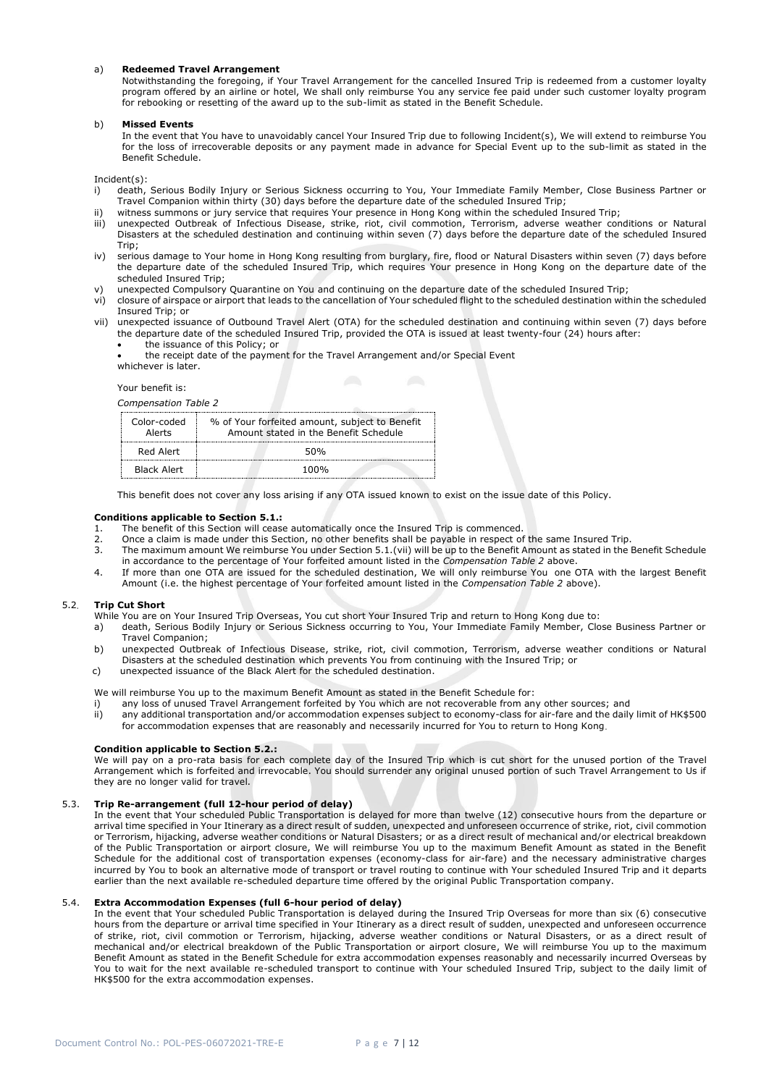## a) **Redeemed Travel Arrangement**

Notwithstanding the foregoing, if Your Travel Arrangement for the cancelled Insured Trip is redeemed from a customer loyalty program offered by an airline or hotel, We shall only reimburse You any service fee paid under such customer loyalty program for rebooking or resetting of the award up to the sub-limit as stated in the Benefit Schedule.

### b) **Missed Events**

In the event that You have to unavoidably cancel Your Insured Trip due to following Incident(s), We will extend to reimburse You for the loss of irrecoverable deposits or any payment made in advance for Special Event up to the sub-limit as stated in the Benefit Schedule.

Incident(s):

- i) death, Serious Bodily Injury or Serious Sickness occurring to You, Your Immediate Family Member, Close Business Partner or Travel Companion within thirty (30) days before the departure date of the scheduled Insured Trip;
- ii) witness summons or jury service that requires Your presence in Hong Kong within the scheduled Insured Trip;
- iii) unexpected Outbreak of Infectious Disease, strike, riot, civil commotion, Terrorism, adverse weather conditions or Natural Disasters at the scheduled destination and continuing within seven (7) days before the departure date of the scheduled Insured Trip;
- iv) serious damage to Your home in Hong Kong resulting from burglary, fire, flood or Natural Disasters within seven (7) days before the departure date of the scheduled Insured Trip, which requires Your presence in Hong Kong on the departure date of the scheduled Insured Trip;
- v) unexpected Compulsory Quarantine on You and continuing on the departure date of the scheduled Insured Trip;
- vi) closure of airspace or airport that leads to the cancellation of Your scheduled flight to the scheduled destination within the scheduled Insured Trip; or
- vii) unexpected issuance of Outbound Travel Alert (OTA) for the scheduled destination and continuing within seven (7) days before the departure date of the scheduled Insured Trip, provided the OTA is issued at least twenty-four (24) hours after:
	- the issuance of this Policy; or
	- the receipt date of the payment for the Travel Arrangement and/or Special Event whichever is later.

## Your benefit is:

*Compensation Table 2* 

| Color-coded<br>Alerts | % of Your forfeited amount, subject to Benefit<br>Amount stated in the Benefit Schedule |
|-----------------------|-----------------------------------------------------------------------------------------|
| Red Alert             | 50%                                                                                     |
| Black Alert           | 100%                                                                                    |

This benefit does not cover any loss arising if any OTA issued known to exist on the issue date of this Policy.

#### **Conditions applicable to Section 5.1.:**

- 1. The benefit of this Section will cease automatically once the Insured Trip is commenced.
- 2. Once a claim is made under this Section, no other benefits shall be payable in respect of the same Insured Trip.<br>3. The maximum amount We reimburse You under Section 5.1. (vii) will be up to the Benefit Amount as stated
- The maximum amount We reimburse You under Section 5.1.(vii) will be up to the Benefit Amount as stated in the Benefit Schedule in accordance to the percentage of Your forfeited amount listed in the *Compensation Table 2* above.
- 4. If more than one OTA are issued for the scheduled destination, We will only reimburse You one OTA with the largest Benefit Amount (i.e. the highest percentage of Your forfeited amount listed in the *Compensation Table 2* above).

## 5.2. **Trip Cut Short**

While You are on Your Insured Trip Overseas, You cut short Your Insured Trip and return to Hong Kong due to:

- a) death, Serious Bodily Injury or Serious Sickness occurring to You, Your Immediate Family Member, Close Business Partner or Travel Companion;
- b) unexpected Outbreak of Infectious Disease, strike, riot, civil commotion, Terrorism, adverse weather conditions or Natural Disasters at the scheduled destination which prevents You from continuing with the Insured Trip; or
- c) unexpected issuance of the Black Alert for the scheduled destination.

We will reimburse You up to the maximum Benefit Amount as stated in the Benefit Schedule for:

- i) any loss of unused Travel Arrangement forfeited by You which are not recoverable from any other sources; and
- ii) any additional transportation and/or accommodation expenses subject to economy-class for air-fare and the daily limit of HK\$500 for accommodation expenses that are reasonably and necessarily incurred for You to return to Hong Kong.

#### **Condition applicable to Section 5.2.:**

We will pay on a pro-rata basis for each complete day of the Insured Trip which is cut short for the unused portion of the Travel Arrangement which is forfeited and irrevocable. You should surrender any original unused portion of such Travel Arrangement to Us if they are no longer valid for travel.

### 5.3. **Trip Re-arrangement (full 12-hour period of delay)**

In the event that Your scheduled Public Transportation is delayed for more than twelve (12) consecutive hours from the departure or arrival time specified in Your Itinerary as a direct result of sudden, unexpected and unforeseen occurrence of strike, riot, civil commotion or Terrorism, hijacking, adverse weather conditions or Natural Disasters; or as a direct result of mechanical and/or electrical breakdown of the Public Transportation or airport closure, We will reimburse You up to the maximum Benefit Amount as stated in the Benefit Schedule for the additional cost of transportation expenses (economy-class for air-fare) and the necessary administrative charges incurred by You to book an alternative mode of transport or travel routing to continue with Your scheduled Insured Trip and it departs earlier than the next available re-scheduled departure time offered by the original Public Transportation company.

#### 5.4. **Extra Accommodation Expenses (full 6-hour period of delay)**

In the event that Your scheduled Public Transportation is delayed during the Insured Trip Overseas for more than six (6) consecutive hours from the departure or arrival time specified in Your Itinerary as a direct result of sudden, unexpected and unforeseen occurrence of strike, riot, civil commotion or Terrorism, hijacking, adverse weather conditions or Natural Disasters, or as a direct result of mechanical and/or electrical breakdown of the Public Transportation or airport closure, We will reimburse You up to the maximum Benefit Amount as stated in the Benefit Schedule for extra accommodation expenses reasonably and necessarily incurred Overseas by You to wait for the next available re-scheduled transport to continue with Your scheduled Insured Trip, subject to the daily limit of HK\$500 for the extra accommodation expenses.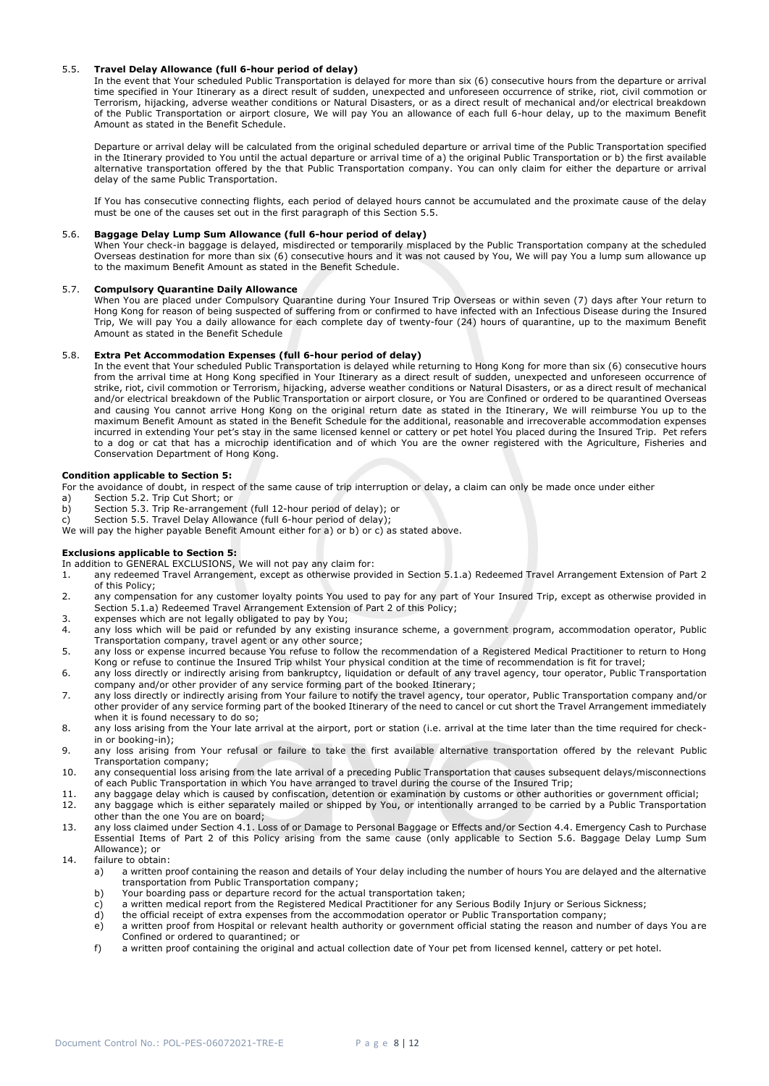## 5.5. **Travel Delay Allowance (full 6-hour period of delay)**

In the event that Your scheduled Public Transportation is delayed for more than six (6) consecutive hours from the departure or arrival time specified in Your Itinerary as a direct result of sudden, unexpected and unforeseen occurrence of strike, riot, civil commotion or Terrorism, hijacking, adverse weather conditions or Natural Disasters, or as a direct result of mechanical and/or electrical breakdown of the Public Transportation or airport closure, We will pay You an allowance of each full 6-hour delay, up to the maximum Benefit Amount as stated in the Benefit Schedule.

Departure or arrival delay will be calculated from the original scheduled departure or arrival time of the Public Transportation specified in the Itinerary provided to You until the actual departure or arrival time of a) the original Public Transportation or b) the first available alternative transportation offered by the that Public Transportation company. You can only claim for either the departure or arrival delay of the same Public Transportation.

If You has consecutive connecting flights, each period of delayed hours cannot be accumulated and the proximate cause of the delay must be one of the causes set out in the first paragraph of this Section 5.5.

## 5.6. **Baggage Delay Lump Sum Allowance (full 6-hour period of delay)**

When Your check-in baggage is delayed, misdirected or temporarily misplaced by the Public Transportation company at the scheduled Overseas destination for more than six (6) consecutive hours and it was not caused by You, We will pay You a lump sum allowance up to the maximum Benefit Amount as stated in the Benefit Schedule.

### 5.7. **Compulsory Quarantine Daily Allowance**

When You are placed under Compulsory Quarantine during Your Insured Trip Overseas or within seven (7) days after Your return to Hong Kong for reason of being suspected of suffering from or confirmed to have infected with an Infectious Disease during the Insured Trip, We will pay You a daily allowance for each complete day of twenty-four (24) hours of quarantine, up to the maximum Benefit Amount as stated in the Benefit Schedule

## 5.8. **Extra Pet Accommodation Expenses (full 6-hour period of delay)**

In the event that Your scheduled Public Transportation is delayed while returning to Hong Kong for more than six (6) consecutive hours from the arrival time at Hong Kong specified in Your Itinerary as a direct result of sudden, unexpected and unforeseen occurrence of strike, riot, civil commotion or Terrorism, hijacking, adverse weather conditions or Natural Disasters, or as a direct result of mechanical and/or electrical breakdown of the Public Transportation or airport closure, or You are Confined or ordered to be quarantined Overseas and causing You cannot arrive Hong Kong on the original return date as stated in the Itinerary, We will reimburse You up to the maximum Benefit Amount as stated in the Benefit Schedule for the additional, reasonable and irrecoverable accommodation expenses incurred in extending Your pet's stay in the same licensed kennel or cattery or pet hotel You placed during the Insured Trip. Pet refers to a dog or cat that has a microchip identification and of which You are the owner registered with the Agriculture, Fisheries and Conservation Department of Hong Kong.

## **Condition applicable to Section 5:**

- For the avoidance of doubt, in respect of the same cause of trip interruption or delay, a claim can only be made once under either
- a) Section 5.2. Trip Cut Short; or
- b) Section 5.3. Trip Re-arrangement (full 12-hour period of delay); or
- Section 5.5. Travel Delay Allowance (full 6-hour period of delay);
- We will pay the higher payable Benefit Amount either for a) or b) or c) as stated above.

## **Exclusions applicable to Section 5:**

- In addition to GENERAL EXCLUSIONS, We will not pay any claim for:
- 1. any redeemed Travel Arrangement, except as otherwise provided in Section 5.1.a) Redeemed Travel Arrangement Extension of Part 2 of this Policy;
- 2. any compensation for any customer loyalty points You used to pay for any part of Your Insured Trip, except as otherwise provided in Section 5.1.a) Redeemed Travel Arrangement Extension of Part 2 of this Policy;
- 3. expenses which are not legally obligated to pay by You;
- any loss which will be paid or refunded by any existing insurance scheme, a government program, accommodation operator, Public Transportation company, travel agent or any other source;
- 5. any loss or expense incurred because You refuse to follow the recommendation of a Registered Medical Practitioner to return to Hong Kong or refuse to continue the Insured Trip whilst Your physical condition at the time of recommendation is fit for travel;
- 6. any loss directly or indirectly arising from bankruptcy, liquidation or default of any travel agency, tour operator, Public Transportation company and/or other provider of any service forming part of the booked Itinerary;
- 7. any loss directly or indirectly arising from Your failure to notify the travel agency, tour operator, Public Transportation company and/or other provider of any service forming part of the booked Itinerary of the need to cancel or cut short the Travel Arrangement immediately when it is found necessary to do so;
- 8. any loss arising from the Your late arrival at the airport, port or station (i.e. arrival at the time later than the time required for checkin or booking-in);
- 9. any loss arising from Your refusal or failure to take the first available alternative transportation offered by the relevant Public Transportation company;
- 10. any consequential loss arising from the late arrival of a preceding Public Transportation that causes subsequent delays/misconnections of each Public Transportation in which You have arranged to travel during the course of the Insured Trip;
- 11. any baggage delay which is caused by confiscation, detention or examination by customs or other authorities or government official;
- 12. any baggage which is either separately mailed or shipped by You, or intentionally arranged to be carried by a Public Transportation other than the one You are on board;
- 13. any loss claimed under Section 4.1. Loss of or Damage to Personal Baggage or Effects and/or Section 4.4. Emergency Cash to Purchase Essential Items of Part 2 of this Policy arising from the same cause (only applicable to Section 5.6. Baggage Delay Lump Sum Allowance); or
- 14. failure to obtain:
	- a) a written proof containing the reason and details of Your delay including the number of hours You are delayed and the alternative transportation from Public Transportation company;
	- b) Your boarding pass or departure record for the actual transportation taken;
	- c) a written medical report from the Registered Medical Practitioner for any Serious Bodily Injury or Serious Sickness;
	- d) the official receipt of extra expenses from the accommodation operator or Public Transportation company;
	- e) a written proof from Hospital or relevant health authority or government official stating the reason and number of days You are Confined or ordered to quarantined; or
	- f) a written proof containing the original and actual collection date of Your pet from licensed kennel, cattery or pet hotel.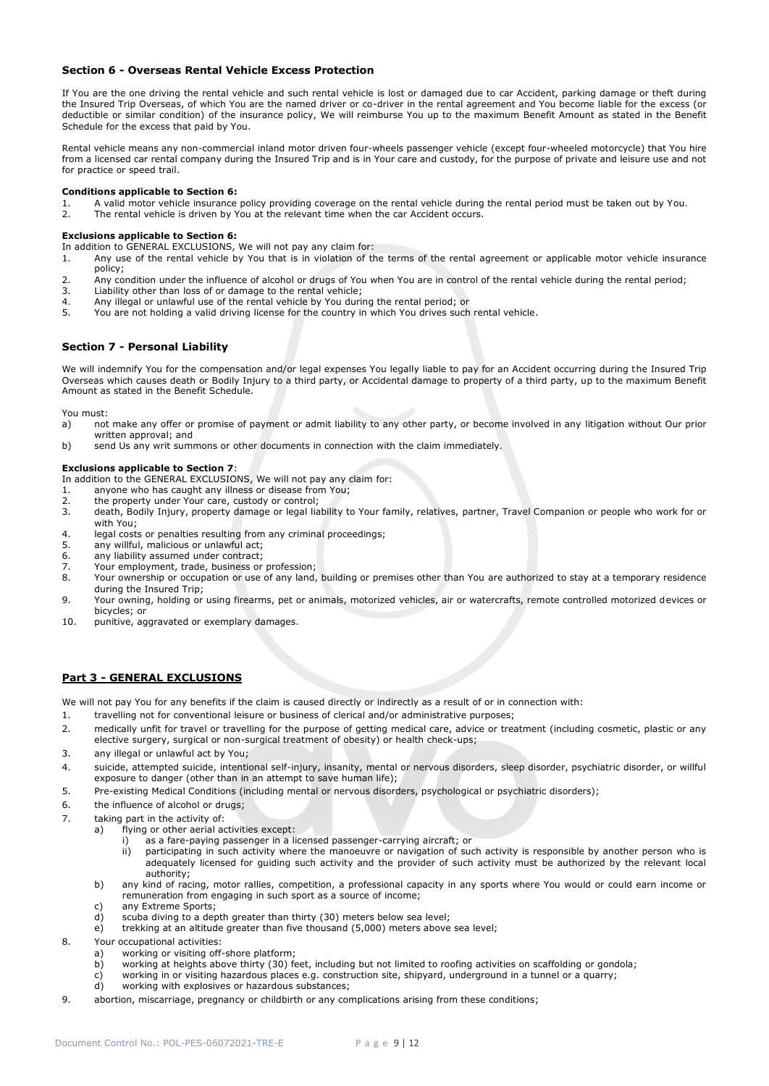## **Section 6 - Overseas Rental Vehicle Excess Protection**

If You are the one driving the rental vehicle and such rental vehicle is lost or damaged due to car Accident, parking damage or theft during the Insured Trip Overseas, of which You are the named driver or co-driver in the rental agreement and You become liable for the excess (or deductible or similar condition) of the insurance policy, We will reimburse You up to the maximum Benefit Amount as stated in the Benefit Schedule for the excess that paid by You.

Rental vehicle means any non-commercial inland motor driven four-wheels passenger vehicle (except four-wheeled motorcycle) that You hire from a licensed car rental company during the Insured Trip and is in Your care and custody, for the purpose of private and leisure use and not for practice or speed trail.

## **Conditions applicable to Section 6:**

- 1. A valid motor vehicle insurance policy providing coverage on the rental vehicle during the rental period must be taken out by You.
- 2. The rental vehicle is driven by You at the relevant time when the car Accident occurs.

## **Exclusions applicable to Section 6:**

In addition to GENERAL EXCLUSIONS, We will not pay any claim for:

- 1. Any use of the rental vehicle by You that is in violation of the terms of the rental agreement or applicable motor vehicle insurance policy;
- 2. Any condition under the influence of alcohol or drugs of You when You are in control of the rental vehicle during the rental period;
- 3. Liability other than loss of or damage to the rental vehicle;
- 4. Any illegal or unlawful use of the rental vehicle by You during the rental period; or
- 5. You are not holding a valid driving license for the country in which You drives such rental vehicle.

## **Section 7 - Personal Liability**

We will indemnify You for the compensation and/or legal expenses You legally liable to pay for an Accident occurring during the Insured Trip Overseas which causes death or Bodily Injury to a third party, or Accidental damage to property of a third party, up to the maximum Benefit Amount as stated in the Benefit Schedule.

You must:

- a) not make any offer or promise of payment or admit liability to any other party, or become involved in any litigation without Our prior written approval; and
- b) send Us any writ summons or other documents in connection with the claim immediately.

## **Exclusions applicable to Section 7**:

In addition to the GENERAL EXCLUSIONS, We will not pay any claim for:

- 1. anyone who has caught any illness or disease from You;
- 2. the property under Your care, custody or control;
- 3. death, Bodily Injury, property damage or legal liability to Your family, relatives, partner, Travel Companion or people who work for or with You;
- 4. legal costs or penalties resulting from any criminal proceedings;
- 5. any willful, malicious or unlawful act;
- 6. any liability assumed under contract;
- 7. Your employment, trade, business or profession;
- 8. Your ownership or occupation or use of any land, building or premises other than You are authorized to stay at a temporary residence during the Insured Trip;
- 9. Your owning, holding or using firearms, pet or animals, motorized vehicles, air or watercrafts, remote controlled motorized devices or bicycles; or
- 10. punitive, aggravated or exemplary damages.

## **Part 3 - GENERAL EXCLUSIONS**

We will not pay You for any benefits if the claim is caused directly or indirectly as a result of or in connection with:

- 1. travelling not for conventional leisure or business of clerical and/or administrative purposes;
- 2. medically unfit for travel or travelling for the purpose of getting medical care, advice or treatment (including cosmetic, plastic or any elective surgery, surgical or non-surgical treatment of obesity) or health check-ups;
- 3. any illegal or unlawful act by You;
- 4. suicide, attempted suicide, intentional self-injury, insanity, mental or nervous disorders, sleep disorder, psychiatric disorder, or willful exposure to danger (other than in an attempt to save human life);
- 5. Pre-existing Medical Conditions (including mental or nervous disorders, psychological or psychiatric disorders);
- 6. the influence of alcohol or drugs;
- 7. taking part in the activity of:
	- a) flying or other aerial activities except:
		- as a fare-paying passenger in a licensed passenger-carrying aircraft; or
		- ii) participating in such activity where the manoeuvre or navigation of such activity is responsible by another person who is adequately licensed for guiding such activity and the provider of such activity must be authorized by the relevant local authority;
	- b) any kind of racing, motor rallies, competition, a professional capacity in any sports where You would or could earn income or remuneration from engaging in such sport as a source of income;
	- c) any Extreme Sports;
	- d) scuba diving to a depth greater than thirty (30) meters below sea level;
	- e) trekking at an altitude greater than five thousand (5,000) meters above sea level;
- 8. Your occupational activities:
	- a) working or visiting off-shore platform;
	- b) working at heights above thirty (30) feet, including but not limited to roofing activities on scaffolding or gondola;
	- c) working in or visiting hazardous places e.g. construction site, shipyard, underground in a tunnel or a quarry;
	- d) working with explosives or hazardous substances;
- 9. abortion, miscarriage, pregnancy or childbirth or any complications arising from these conditions;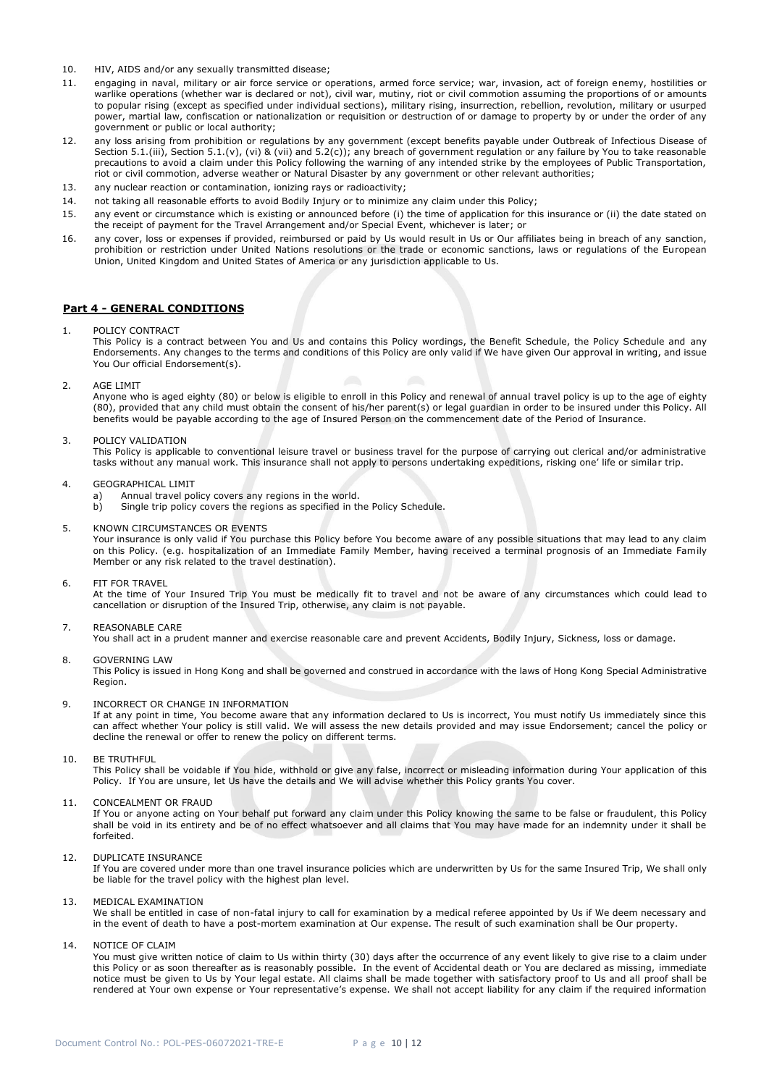- 10. HIV, AIDS and/or any sexually transmitted disease;
- 11. engaging in naval, military or air force service or operations, armed force service; war, invasion, act of foreign enemy, hostilities or warlike operations (whether war is declared or not), civil war, mutiny, riot or civil commotion assuming the proportions of or amounts to popular rising (except as specified under individual sections), military rising, insurrection, rebellion, revolution, military or usurped power, martial law, confiscation or nationalization or requisition or destruction of or damage to property by or under the order of any government or public or local authority;
- 12. any loss arising from prohibition or regulations by any government (except benefits payable under Outbreak of Infectious Disease of Section 5.1.(iii), Section 5.1.(v), (vi) & (vii) and 5.2(c)); any breach of government regulation or any failure by You to take reasonable precautions to avoid a claim under this Policy following the warning of any intended strike by the employees of Public Transportation, riot or civil commotion, adverse weather or Natural Disaster by any government or other relevant authorities;
- 13. any nuclear reaction or contamination, ionizing rays or radioactivity;
- 14. not taking all reasonable efforts to avoid Bodily Injury or to minimize any claim under this Policy;
- 15. any event or circumstance which is existing or announced before (i) the time of application for this insurance or (ii) the date stated on the receipt of payment for the Travel Arrangement and/or Special Event, whichever is later; or
- 16. any cover, loss or expenses if provided, reimbursed or paid by Us would result in Us or Our affiliates being in breach of any sanction, prohibition or restriction under United Nations resolutions or the trade or economic sanctions, laws or regulations of the European Union, United Kingdom and United States of America or any jurisdiction applicable to Us.

## **Part 4 - GENERAL CONDITIONS**

1. POLICY CONTRACT

This Policy is a contract between You and Us and contains this Policy wordings, the Benefit Schedule, the Policy Schedule and any Endorsements. Any changes to the terms and conditions of this Policy are only valid if We have given Our approval in writing, and issue You Our official Endorsement(s).

2. AGE LIMIT

Anyone who is aged eighty (80) or below is eligible to enroll in this Policy and renewal of annual travel policy is up to the age of eighty (80), provided that any child must obtain the consent of his/her parent(s) or legal guardian in order to be insured under this Policy. All benefits would be payable according to the age of Insured Person on the commencement date of the Period of Insurance.

## 3. POLICY VALIDATION

This Policy is applicable to conventional leisure travel or business travel for the purpose of carrying out clerical and/or administrative tasks without any manual work. This insurance shall not apply to persons undertaking expeditions, risking one' life or similar trip.

## 4. GEOGRAPHICAL LIMIT

- a) Annual travel policy covers any regions in the world.<br>b) Single trip policy covers the regions as specified in the
- Single trip policy covers the regions as specified in the Policy Schedule.

## 5. KNOWN CIRCUMSTANCES OR EVENTS

Your insurance is only valid if You purchase this Policy before You become aware of any possible situations that may lead to any claim on this Policy. (e.g. hospitalization of an Immediate Family Member, having received a terminal prognosis of an Immediate Family Member or any risk related to the travel destination).

6. FIT FOR TRAVEL

At the time of Your Insured Trip You must be medically fit to travel and not be aware of any circumstances which could lead to cancellation or disruption of the Insured Trip, otherwise, any claim is not payable.

## 7. REASONABLE CARE

You shall act in a prudent manner and exercise reasonable care and prevent Accidents, Bodily Injury, Sickness, loss or damage.

## 8. GOVERNING LAW

This Policy is issued in Hong Kong and shall be governed and construed in accordance with the laws of Hong Kong Special Administrative Region.

9. INCORRECT OR CHANGE IN INFORMATION

If at any point in time, You become aware that any information declared to Us is incorrect, You must notify Us immediately since this can affect whether Your policy is still valid. We will assess the new details provided and may issue Endorsement; cancel the policy or decline the renewal or offer to renew the policy on different terms.

10. BE TRUTHFUL

This Policy shall be voidable if You hide, withhold or give any false, incorrect or misleading information during Your application of this Policy. If You are unsure, let Us have the details and We will advise whether this Policy grants You cover.

## 11. CONCEALMENT OR FRAUD

If You or anyone acting on Your behalf put forward any claim under this Policy knowing the same to be false or fraudulent, this Policy shall be void in its entirety and be of no effect whatsoever and all claims that You may have made for an indemnity under it shall be forfeited.

12. DUPLICATE INSURANCE

If You are covered under more than one travel insurance policies which are underwritten by Us for the same Insured Trip, We shall only be liable for the travel policy with the highest plan level.

# 13. MEDICAL EXAMINATION

We shall be entitled in case of non-fatal injury to call for examination by a medical referee appointed by Us if We deem necessary and in the event of death to have a post-mortem examination at Our expense. The result of such examination shall be Our property.

## 14 NOTICE OF CLAIM

You must give written notice of claim to Us within thirty (30) days after the occurrence of any event likely to give rise to a claim under this Policy or as soon thereafter as is reasonably possible. In the event of Accidental death or You are declared as missing, immediate notice must be given to Us by Your legal estate. All claims shall be made together with satisfactory proof to Us and all proof shall be rendered at Your own expense or Your representative's expense. We shall not accept liability for any claim if the required information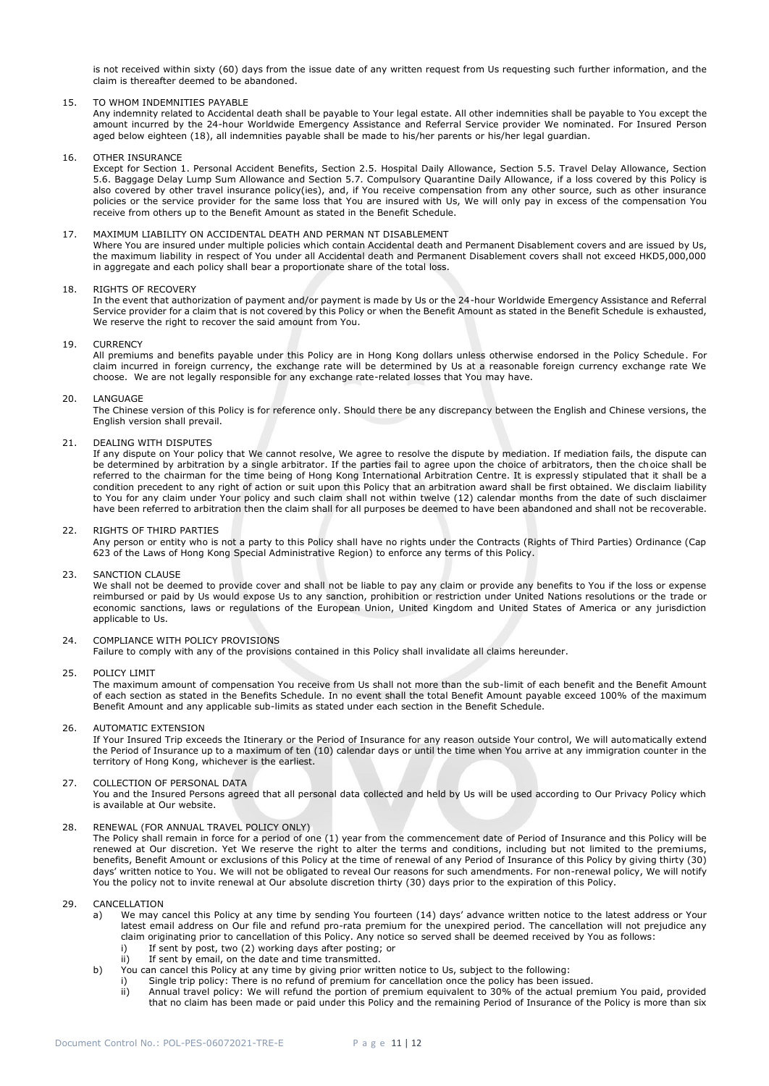is not received within sixty (60) days from the issue date of any written request from Us requesting such further information, and the claim is thereafter deemed to be abandoned.

## 15. TO WHOM INDEMNITIES PAYABLE

Any indemnity related to Accidental death shall be payable to Your legal estate. All other indemnities shall be payable to You except the amount incurred by the 24-hour Worldwide Emergency Assistance and Referral Service provider We nominated. For Insured Person aged below eighteen (18), all indemnities payable shall be made to his/her parents or his/her legal guardian.

16. OTHER INSURANCE

Except for Section 1. Personal Accident Benefits, Section 2.5. Hospital Daily Allowance, Section 5.5. Travel Delay Allowance, Section 5.6. Baggage Delay Lump Sum Allowance and Section 5.7. Compulsory Quarantine Daily Allowance, if a loss covered by this Policy is also covered by other travel insurance policy(ies), and, if You receive compensation from any other source, such as other insurance policies or the service provider for the same loss that You are insured with Us, We will only pay in excess of the compensation You receive from others up to the Benefit Amount as stated in the Benefit Schedule.

## 17. MAXIMUM LIABILITY ON ACCIDENTAL DEATH AND PERMAN NT DISABLEMENT

Where You are insured under multiple policies which contain Accidental death and Permanent Disablement covers and are issued by Us, the maximum liability in respect of You under all Accidental death and Permanent Disablement covers shall not exceed HKD5,000,000 in aggregate and each policy shall bear a proportionate share of the total loss.

## 18. RIGHTS OF RECOVERY

In the event that authorization of payment and/or payment is made by Us or the 24-hour Worldwide Emergency Assistance and Referral Service provider for a claim that is not covered by this Policy or when the Benefit Amount as stated in the Benefit Schedule is exhausted, We reserve the right to recover the said amount from You.

## 19. CURRENCY

All premiums and benefits payable under this Policy are in Hong Kong dollars unless otherwise endorsed in the Policy Schedule. For claim incurred in foreign currency, the exchange rate will be determined by Us at a reasonable foreign currency exchange rate We choose. We are not legally responsible for any exchange rate-related losses that You may have.

20. LANGUAGE

The Chinese version of this Policy is for reference only. Should there be any discrepancy between the English and Chinese versions, the English version shall prevail.

## 21. DEALING WITH DISPUTES

If any dispute on Your policy that We cannot resolve, We agree to resolve the dispute by mediation. If mediation fails, the dispute can be determined by arbitration by a single arbitrator. If the parties fail to agree upon the choice of arbitrators, then the choice shall be referred to the chairman for the time being of Hong Kong International Arbitration Centre. It is expressly stipulated that it shall be a condition precedent to any right of action or suit upon this Policy that an arbitration award shall be first obtained. We disclaim liability to You for any claim under Your policy and such claim shall not within twelve (12) calendar months from the date of such disclaimer have been referred to arbitration then the claim shall for all purposes be deemed to have been abandoned and shall not be recoverable.

22. RIGHTS OF THIRD PARTIES

Any person or entity who is not a party to this Policy shall have no rights under the Contracts (Rights of Third Parties) Ordinance (Cap 623 of the Laws of Hong Kong Special Administrative Region) to enforce any terms of this Policy.

## 23. SANCTION CLAUSE

We shall not be deemed to provide cover and shall not be liable to pay any claim or provide any benefits to You if the loss or expense reimbursed or paid by Us would expose Us to any sanction, prohibition or restriction under United Nations resolutions or the trade or economic sanctions, laws or regulations of the European Union, United Kingdom and United States of America or any jurisdiction applicable to Us.

## 24. COMPLIANCE WITH POLICY PROVISIONS

Failure to comply with any of the provisions contained in this Policy shall invalidate all claims hereunder.

25. POLICY LIMIT

The maximum amount of compensation You receive from Us shall not more than the sub-limit of each benefit and the Benefit Amount of each section as stated in the Benefits Schedule. In no event shall the total Benefit Amount payable exceed 100% of the maximum Benefit Amount and any applicable sub-limits as stated under each section in the Benefit Schedule.

## 26. AUTOMATIC EXTENSION

If Your Insured Trip exceeds the Itinerary or the Period of Insurance for any reason outside Your control, We will automatically extend the Period of Insurance up to a maximum of ten (10) calendar days or until the time when You arrive at any immigration counter in the territory of Hong Kong, whichever is the earliest.

## 27. COLLECTION OF PERSONAL DATA

You and the Insured Persons agreed that all personal data collected and held by Us will be used according to Our Privacy Policy which is available at Our website.

## 28. RENEWAL (FOR ANNUAL TRAVEL POLICY ONLY)

The Policy shall remain in force for a period of one (1) year from the commencement date of Period of Insurance and this Policy will be renewed at Our discretion. Yet We reserve the right to alter the terms and conditions, including but not limited to the premiums, benefits, Benefit Amount or exclusions of this Policy at the time of renewal of any Period of Insurance of this Policy by giving thirty (30) days' written notice to You. We will not be obligated to reveal Our reasons for such amendments. For non-renewal policy, We will notify You the policy not to invite renewal at Our absolute discretion thirty (30) days prior to the expiration of this Policy.

29. CANCELLATION

- a) We may cancel this Policy at any time by sending You fourteen (14) days' advance written notice to the latest address or Your latest email address on Our file and refund pro-rata premium for the unexpired period. The cancellation will not prejudice any claim originating prior to cancellation of this Policy. Any notice so served shall be deemed received by You as follows:
	- i) If sent by post, two (2) working days after posting; or
	- ii) If sent by email, on the date and time transmitted.
- b) You can cancel this Policy at any time by giving prior written notice to Us, subject to the following:
	- i) Single trip policy: There is no refund of premium for cancellation once the policy has been issued.<br>ii) Annual travel policy: We will refund the portion of premium equivalent to 30% of the actual prer
	- Annual travel policy: We will refund the portion of premium equivalent to 30% of the actual premium You paid, provided that no claim has been made or paid under this Policy and the remaining Period of Insurance of the Policy is more than six